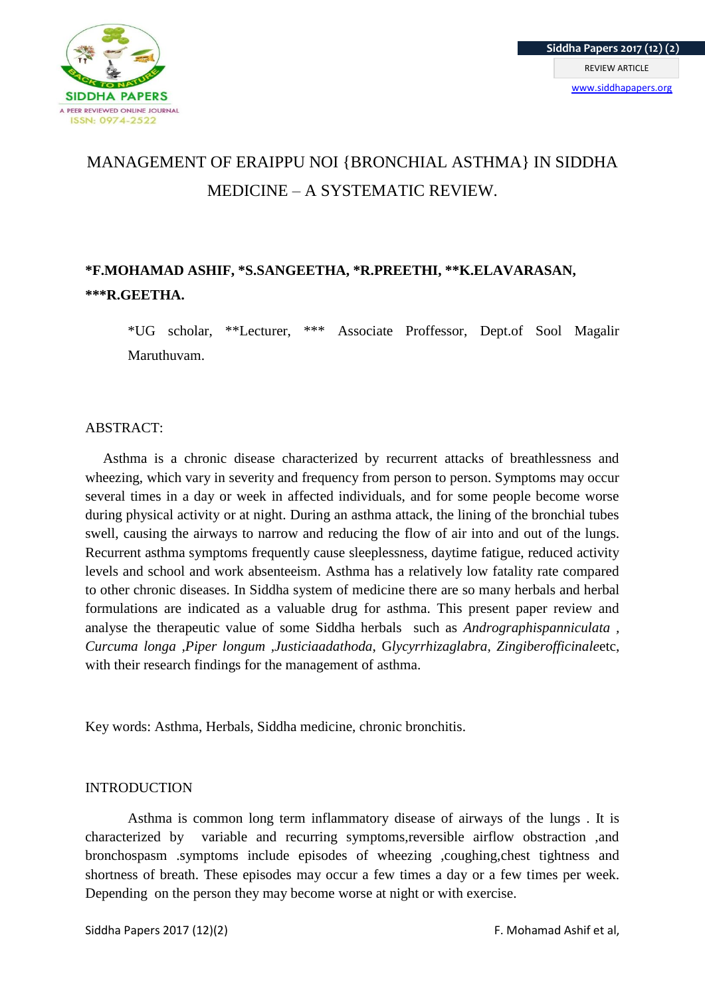

# MANAGEMENT OF ERAIPPU NOI {BRONCHIAL ASTHMA} IN SIDDHA MEDICINE – A SYSTEMATIC REVIEW.

# **\*F.MOHAMAD ASHIF, \*S.SANGEETHA, \*R.PREETHI, \*\*K.ELAVARASAN, \*\*\*R.GEETHA.**

\*UG scholar, \*\*Lecturer, \*\*\* Associate Proffessor, Dept.of Sool Magalir Maruthuvam.

#### ABSTRACT:

 Asthma is a chronic disease characterized by recurrent attacks of breathlessness and wheezing, which vary in severity and frequency from person to person. Symptoms may occur several times in a day or week in affected individuals, and for some people become worse during physical activity or at night. During an asthma attack, the lining of the bronchial tubes swell, causing the airways to narrow and reducing the flow of air into and out of the lungs. Recurrent asthma symptoms frequently cause sleeplessness, daytime fatigue, reduced activity levels and school and work absenteeism. Asthma has a relatively low fatality rate compared to other chronic diseases. In Siddha system of medicine there are so many herbals and herbal formulations are indicated as a valuable drug for asthma. This present paper review and analyse the therapeutic value of some Siddha herbals such as *Andrographispanniculata , Curcuma longa ,Piper longum ,Justiciaadathoda*, G*lycyrrhizaglabra, Zingiberofficinale*etc, with their research findings for the management of asthma.

Key words: Asthma, Herbals, Siddha medicine, chronic bronchitis.

# **INTRODUCTION**

Asthma is common long term inflammatory disease of airways of the lungs . It is characterized by variable and recurring symptoms,reversible airflow obstraction ,and bronchospasm .symptoms include episodes of wheezing ,coughing,chest tightness and shortness of breath. These episodes may occur a few times a day or a few times per week. Depending on the person they may become worse at night or with exercise.

Siddha Papers 2017 (12)(2) Siddha Papers 2017 (12)(2)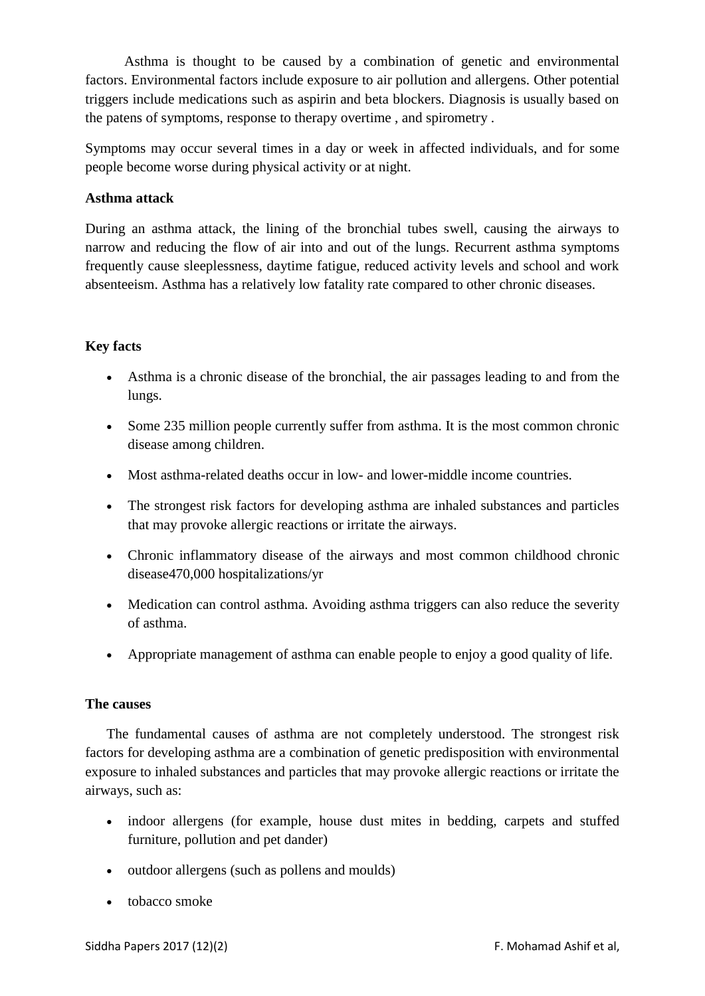Asthma is thought to be caused by a combination of genetic and environmental factors. Environmental factors include exposure to air pollution and allergens. Other potential triggers include medications such as aspirin and beta blockers. Diagnosis is usually based on the patens of symptoms, response to therapy overtime , and spirometry .

Symptoms may occur several times in a day or week in affected individuals, and for some people become worse during physical activity or at night.

# **Asthma attack**

During an asthma attack, the lining of the bronchial tubes swell, causing the airways to narrow and reducing the flow of air into and out of the lungs. Recurrent asthma symptoms frequently cause sleeplessness, daytime fatigue, reduced activity levels and school and work absenteeism. Asthma has a relatively low fatality rate compared to other chronic diseases.

# **Key facts**

- Asthma is a chronic disease of the bronchial, the air passages leading to and from the lungs.
- Some 235 million people currently suffer from asthma. It is the most common chronic disease among children.
- Most asthma-related deaths occur in low- and lower-middle income countries.
- The strongest risk factors for developing asthma are inhaled substances and particles that may provoke allergic reactions or irritate the airways.
- Chronic inflammatory disease of the airways and most common childhood chronic disease470,000 hospitalizations/yr
- Medication can control asthma. Avoiding asthma triggers can also reduce the severity of asthma.
- Appropriate management of asthma can enable people to enjoy a good quality of life.

# **The causes**

The fundamental causes of asthma are not completely understood. The strongest risk factors for developing asthma are a combination of genetic predisposition with environmental exposure to inhaled substances and particles that may provoke allergic reactions or irritate the airways, such as:

- indoor allergens (for example, house dust mites in bedding, carpets and stuffed furniture, pollution and pet dander)
- outdoor allergens (such as pollens and moulds)
- tobacco smoke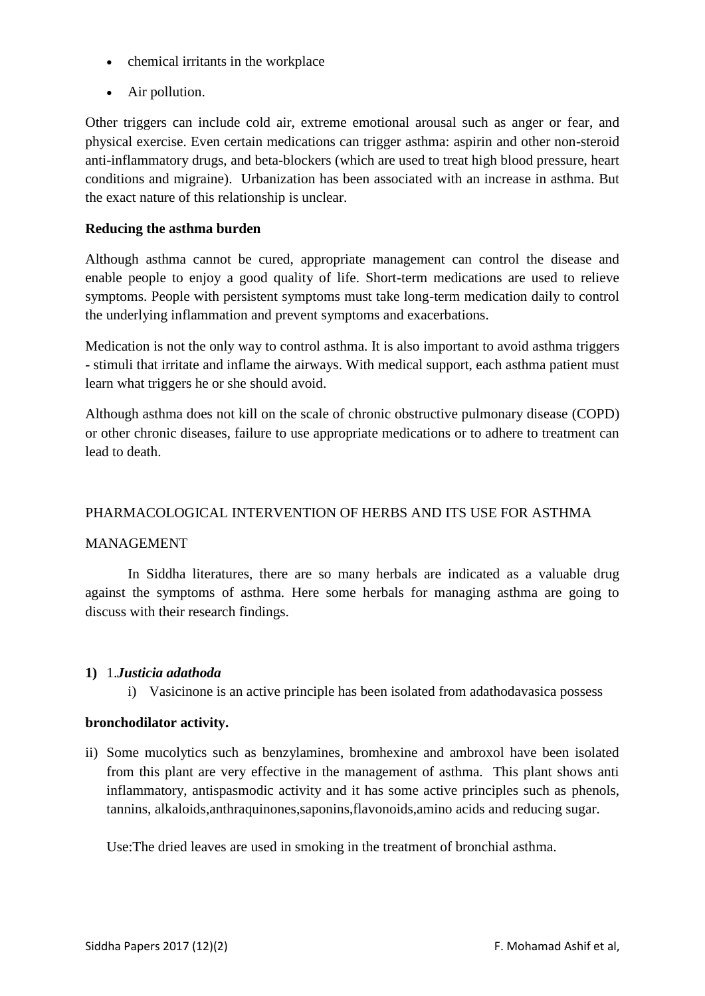- chemical irritants in the workplace
- Air pollution.

Other triggers can include cold air, extreme emotional arousal such as anger or fear, and physical exercise. Even certain medications can trigger asthma: aspirin and other non-steroid anti-inflammatory drugs, and beta-blockers (which are used to treat high blood pressure, heart conditions and migraine). Urbanization has been associated with an increase in asthma. But the exact nature of this relationship is unclear.

# **Reducing the asthma burden**

Although asthma cannot be cured, appropriate management can control the disease and enable people to enjoy a good quality of life. Short-term medications are used to relieve symptoms. People with persistent symptoms must take long-term medication daily to control the underlying inflammation and prevent symptoms and exacerbations.

Medication is not the only way to control asthma. It is also important to avoid asthma triggers - stimuli that irritate and inflame the airways. With medical support, each asthma patient must learn what triggers he or she should avoid.

Although asthma does not kill on the scale of chronic obstructive pulmonary disease (COPD) or other chronic diseases, failure to use appropriate medications or to adhere to treatment can lead to death.

# PHARMACOLOGICAL INTERVENTION OF HERBS AND ITS USE FOR ASTHMA

# MANAGEMENT

In Siddha literatures, there are so many herbals are indicated as a valuable drug against the symptoms of asthma. Here some herbals for managing asthma are going to discuss with their research findings.

# **1)** 1.*Justicia adathoda*

i) Vasicinone is an active principle has been isolated from adathodavasica possess

# **bronchodilator activity.**

ii) Some mucolytics such as benzylamines, bromhexine and ambroxol have been isolated from this plant are very effective in the management of asthma. This plant shows anti inflammatory, antispasmodic activity and it has some active principles such as phenols, tannins, alkaloids,anthraquinones,saponins,flavonoids,amino acids and reducing sugar.

Use:The dried leaves are used in smoking in the treatment of bronchial asthma.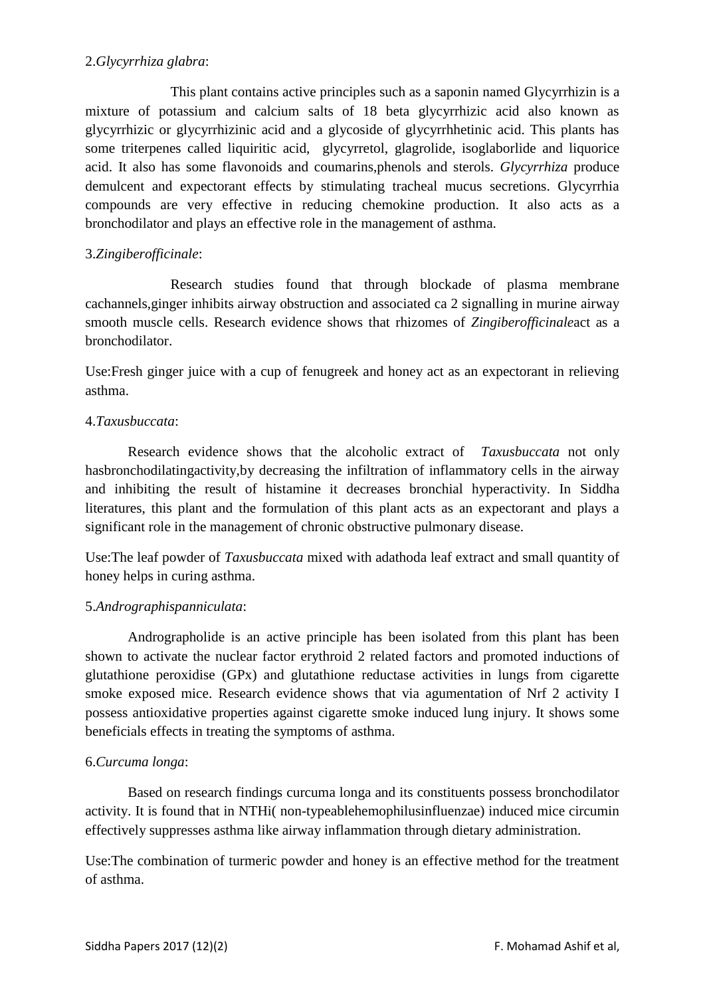# 2.*Glycyrrhiza glabra*:

This plant contains active principles such as a saponin named Glycyrrhizin is a mixture of potassium and calcium salts of 18 beta glycyrrhizic acid also known as glycyrrhizic or glycyrrhizinic acid and a glycoside of glycyrrhhetinic acid. This plants has some triterpenes called liquiritic acid, glycyrretol, glagrolide, isoglaborlide and liquorice acid. It also has some flavonoids and coumarins,phenols and sterols. *Glycyrrhiza* produce demulcent and expectorant effects by stimulating tracheal mucus secretions. Glycyrrhia compounds are very effective in reducing chemokine production. It also acts as a bronchodilator and plays an effective role in the management of asthma.

# 3.*Zingiberofficinale*:

Research studies found that through blockade of plasma membrane cachannels,ginger inhibits airway obstruction and associated ca 2 signalling in murine airway smooth muscle cells. Research evidence shows that rhizomes of *Zingiberofficinale*act as a bronchodilator.

Use:Fresh ginger juice with a cup of fenugreek and honey act as an expectorant in relieving asthma.

#### 4.*Taxusbuccata*:

Research evidence shows that the alcoholic extract of *Taxusbuccata* not only hasbronchodilatingactivity,by decreasing the infiltration of inflammatory cells in the airway and inhibiting the result of histamine it decreases bronchial hyperactivity. In Siddha literatures, this plant and the formulation of this plant acts as an expectorant and plays a significant role in the management of chronic obstructive pulmonary disease.

Use:The leaf powder of *Taxusbuccata* mixed with adathoda leaf extract and small quantity of honey helps in curing asthma.

# 5.*Andrographispanniculata*:

Andrographolide is an active principle has been isolated from this plant has been shown to activate the nuclear factor erythroid 2 related factors and promoted inductions of glutathione peroxidise (GPx) and glutathione reductase activities in lungs from cigarette smoke exposed mice. Research evidence shows that via agumentation of Nrf 2 activity I possess antioxidative properties against cigarette smoke induced lung injury. It shows some beneficials effects in treating the symptoms of asthma.

#### 6.*Curcuma longa*:

Based on research findings curcuma longa and its constituents possess bronchodilator activity. It is found that in NTHi( non-typeablehemophilusinfluenzae) induced mice circumin effectively suppresses asthma like airway inflammation through dietary administration.

Use:The combination of turmeric powder and honey is an effective method for the treatment of asthma.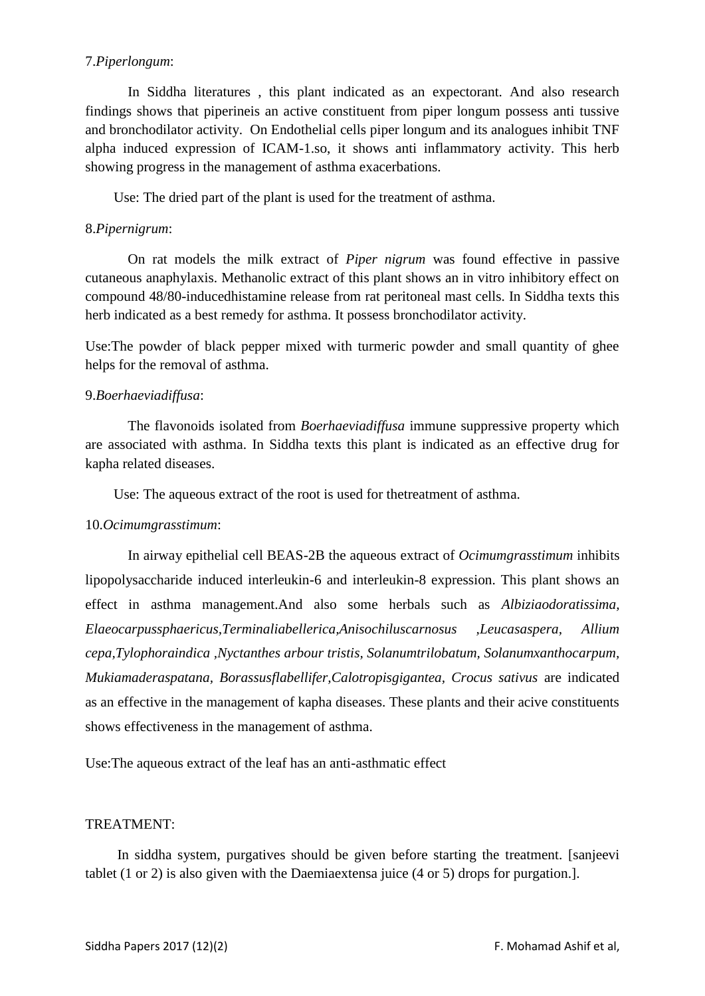#### 7.*Piperlongum*:

In Siddha literatures , this plant indicated as an expectorant. And also research findings shows that piperineis an active constituent from piper longum possess anti tussive and bronchodilator activity. On Endothelial cells piper longum and its analogues inhibit TNF alpha induced expression of ICAM-1.so, it shows anti inflammatory activity. This herb showing progress in the management of asthma exacerbations.

Use: The dried part of the plant is used for the treatment of asthma.

#### 8.*Pipernigrum*:

On rat models the milk extract of *Piper nigrum* was found effective in passive cutaneous anaphylaxis. Methanolic extract of this plant shows an in vitro inhibitory effect on compound 48/80-inducedhistamine release from rat peritoneal mast cells. In Siddha texts this herb indicated as a best remedy for asthma. It possess bronchodilator activity.

Use:The powder of black pepper mixed with turmeric powder and small quantity of ghee helps for the removal of asthma.

#### 9.*Boerhaeviadiffusa*:

The flavonoids isolated from *Boerhaeviadiffusa* immune suppressive property which are associated with asthma. In Siddha texts this plant is indicated as an effective drug for kapha related diseases.

Use: The aqueous extract of the root is used for thetreatment of asthma.

#### 10.*Ocimumgrasstimum*:

In airway epithelial cell BEAS-2B the aqueous extract of *Ocimumgrasstimum* inhibits lipopolysaccharide induced interleukin-6 and interleukin-8 expression. This plant shows an effect in asthma management.And also some herbals such as *Albiziaodoratissima, Elaeocarpussphaericus,Terminaliabellerica,Anisochiluscarnosus ,Leucasaspera, Allium cepa,Tylophoraindica ,Nyctanthes arbour tristis, Solanumtrilobatum, Solanumxanthocarpum, Mukiamaderaspatana, Borassusflabellifer,Calotropisgigantea, Crocus sativus* are indicated as an effective in the management of kapha diseases. These plants and their acive constituents shows effectiveness in the management of asthma.

Use:The aqueous extract of the leaf has an anti-asthmatic effect

#### TREATMENT:

 In siddha system, purgatives should be given before starting the treatment. [sanjeevi tablet (1 or 2) is also given with the Daemiaextensa juice (4 or 5) drops for purgation.].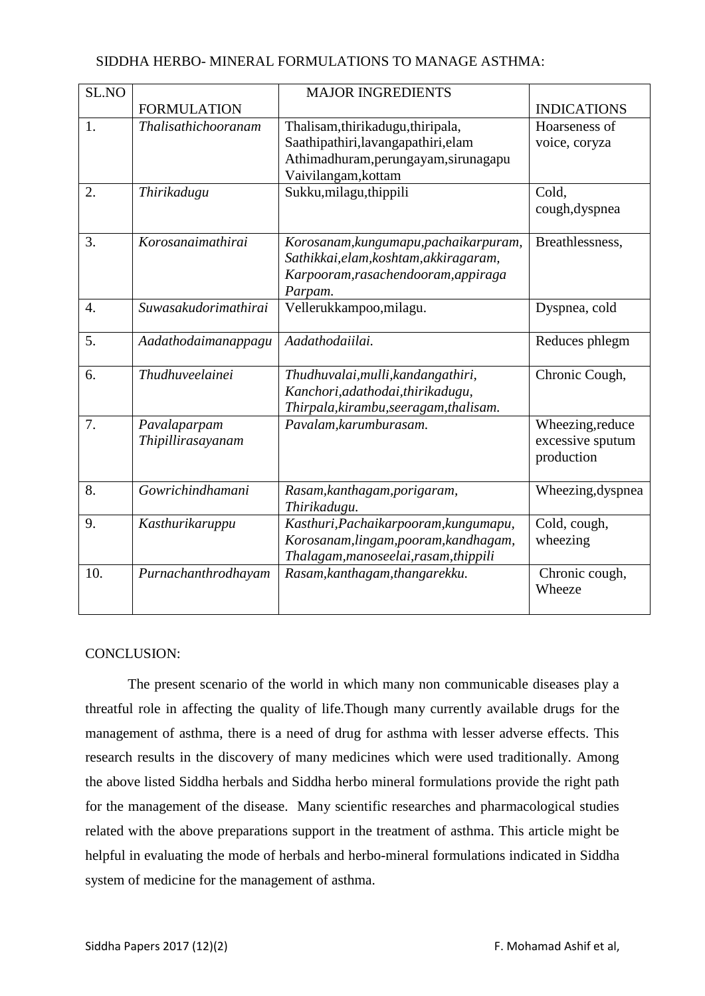| SL.NO            |                                   | <b>MAJOR INGREDIENTS</b>                                                                                                                |                                                    |
|------------------|-----------------------------------|-----------------------------------------------------------------------------------------------------------------------------------------|----------------------------------------------------|
|                  | <b>FORMULATION</b>                |                                                                                                                                         | <b>INDICATIONS</b>                                 |
| 1.               | Thalisathichooranam               | Thalisam, thirikadugu, thiripala,<br>Saathipathiri, lavangapathiri, elam<br>Athimadhuram, perungayam, sirunagapu<br>Vaivilangam, kottam | Hoarseness of<br>voice, coryza                     |
| 2.               | Thirikadugu                       | Sukku, milagu, thippili                                                                                                                 | Cold,<br>cough, dyspnea                            |
| 3.               | Korosanaimathirai                 | Korosanam, kungumapu, pachaikarpuram,<br>Sathikkai, elam, koshtam, akkiragaram,<br>Karpooram, rasachendooram, appiraga<br>Parpam.       | Breathlessness,                                    |
| $\overline{4}$ . | Suwasakudorimathirai              | Vellerukkampoo,milagu.                                                                                                                  | Dyspnea, cold                                      |
| 5.               | Aadathodaimanappagu               | Aadathodaiilai.                                                                                                                         | Reduces phlegm                                     |
| 6.               | <b>Thudhuveelainei</b>            | Thudhuvalai, mulli, kandangathiri,<br>Kanchori, adathodai, thirikadugu,<br>Thirpala, kirambu, seeragam, thalisam.                       | Chronic Cough,                                     |
| 7.               | Pavalaparpam<br>Thipillirasayanam | Pavalam, karumburasam.                                                                                                                  | Wheezing, reduce<br>excessive sputum<br>production |
| 8.               | Gowrichindhamani                  | Rasam, kanthagam, porigaram,<br>Thirikadugu.                                                                                            | Wheezing, dyspnea                                  |
| 9.               | Kasthurikaruppu                   | Kasthuri, Pachaikarpooram, kungumapu,<br>Korosanam, lingam, pooram, kandhagam,<br>Thalagam, manoseelai, rasam, thippili                 | Cold, cough,<br>wheezing                           |
| 10.              | Purnachanthrodhayam               | Rasam, kanthagam, thangarekku.                                                                                                          | Chronic cough,<br>Wheeze                           |

#### CONCLUSION:

The present scenario of the world in which many non communicable diseases play a threatful role in affecting the quality of life.Though many currently available drugs for the management of asthma, there is a need of drug for asthma with lesser adverse effects. This research results in the discovery of many medicines which were used traditionally. Among the above listed Siddha herbals and Siddha herbo mineral formulations provide the right path for the management of the disease. Many scientific researches and pharmacological studies related with the above preparations support in the treatment of asthma. This article might be helpful in evaluating the mode of herbals and herbo-mineral formulations indicated in Siddha system of medicine for the management of asthma.